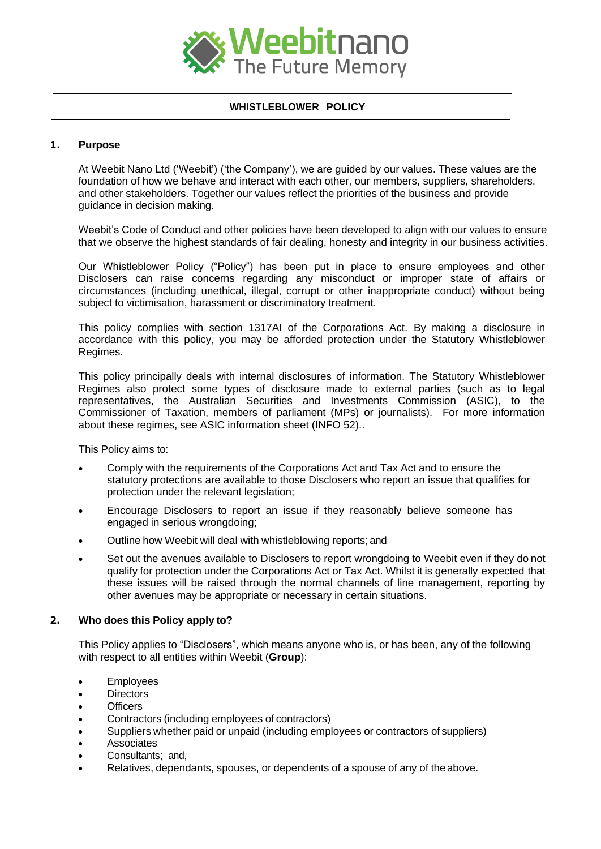

# **WHISTLEBLOWER POLICY**

# **1. Purpose**

At Weebit Nano Ltd ('Weebit') ('the Company'), we are guided by our values. These values are the foundation of how we behave and interact with each other, our members, suppliers, shareholders, and other stakeholders. Together our values reflect the priorities of the business and provide guidance in decision making.

Weebit's Code of Conduct and other policies have been developed to align with our values to ensure that we observe the highest standards of fair dealing, honesty and integrity in our business activities.

Our Whistleblower Policy ("Policy") has been put in place to ensure employees and other Disclosers can raise concerns regarding any misconduct or improper state of affairs or circumstances (including unethical, illegal, corrupt or other inappropriate conduct) without being subject to victimisation, harassment or discriminatory treatment.

This policy complies with section 1317AI of the Corporations Act. By making a disclosure in accordance with this policy, you may be afforded protection under the Statutory Whistleblower Regimes.

This policy principally deals with internal disclosures of information. The Statutory Whistleblower Regimes also protect some types of disclosure made to external parties (such as to legal representatives, the Australian Securities and Investments Commission (ASIC), to the Commissioner of Taxation, members of parliament (MPs) or journalists). For more information about these regimes, see ASIC information sheet (INFO 52)..

This Policy aims to:

- Comply with the requirements of the Corporations Act and Tax Act and to ensure the statutory protections are available to those Disclosers who report an issue that qualifies for protection under the relevant legislation;
- Encourage Disclosers to report an issue if they reasonably believe someone has engaged in serious wrongdoing;
- Outline how Weebit will deal with whistleblowing reports; and
- Set out the avenues available to Disclosers to report wrongdoing to Weebit even if they do not qualify for protection under the Corporations Act or Tax Act. Whilst it is generally expected that these issues will be raised through the normal channels of line management, reporting by other avenues may be appropriate or necessary in certain situations.

## **2. Who does this Policy apply to?**

This Policy applies to "Disclosers", which means anyone who is, or has been, any of the following with respect to all entities within Weebit (**Group**):

- Employees
- Directors
- Officers
- Contractors (including employees of contractors)
- Suppliers whether paid or unpaid (including employees or contractors of suppliers)
- **Associates**
- Consultants: and.
- Relatives, dependants, spouses, or dependents of a spouse of any of theabove.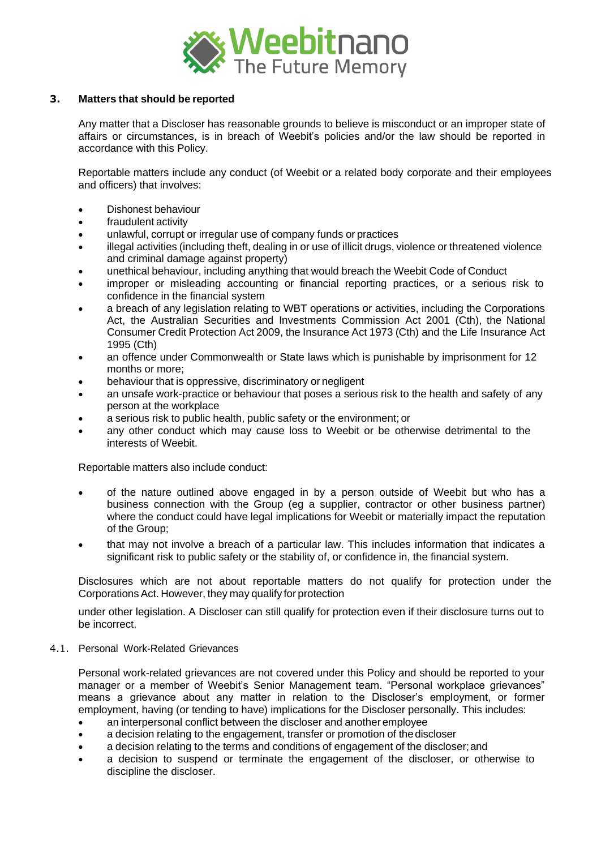

# **3. Matters that should be reported**

Any matter that a Discloser has reasonable grounds to believe is misconduct or an improper state of affairs or circumstances, is in breach of Weebit's policies and/or the law should be reported in accordance with this Policy.

Reportable matters include any conduct (of Weebit or a related body corporate and their employees and officers) that involves:

- Dishonest behaviour
- fraudulent activity
- unlawful, corrupt or irregular use of company funds or practices
- illegal activities (including theft, dealing in or use of illicit drugs, violence or threatened violence and criminal damage against property)
- unethical behaviour, including anything that would breach the Weebit Code of Conduct
- improper or misleading accounting or financial reporting practices, or a serious risk to confidence in the financial system
- a breach of any legislation relating to WBT operations or activities, including the Corporations Act, the Australian Securities and Investments Commission Act 2001 (Cth), the National Consumer Credit Protection Act 2009, the Insurance Act 1973 (Cth) and the Life Insurance Act 1995 (Cth)
- an offence under Commonwealth or State laws which is punishable by imprisonment for 12 months or more;
- behaviour that is oppressive, discriminatory or negligent
- an unsafe work-practice or behaviour that poses a serious risk to the health and safety of any person at the workplace
- a serious risk to public health, public safety or the environment; or
- any other conduct which may cause loss to Weebit or be otherwise detrimental to the interests of Weebit.

Reportable matters also include conduct:

- of the nature outlined above engaged in by a person outside of Weebit but who has a business connection with the Group (eg a supplier, contractor or other business partner) where the conduct could have legal implications for Weebit or materially impact the reputation of the Group;
- that may not involve a breach of a particular law. This includes information that indicates a significant risk to public safety or the stability of, or confidence in, the financial system.

Disclosures which are not about reportable matters do not qualify for protection under the CorporationsAct. However, they may qualify for protection

under other legislation. A Discloser can still qualify for protection even if their disclosure turns out to be incorrect.

4.1. Personal Work-Related Grievances

Personal work-related grievances are not covered under this Policy and should be reported to your manager or a member of Weebit's Senior Management team. "Personal workplace grievances" means a grievance about any matter in relation to the Discloser's employment, or former employment, having (or tending to have) implications for the Discloser personally. This includes:

- an interpersonal conflict between the discloser and another employee
- a decision relating to the engagement, transfer or promotion of thediscloser
- a decision relating to the terms and conditions of engagement of the discloser;and
- a decision to suspend or terminate the engagement of the discloser, or otherwise to discipline the discloser.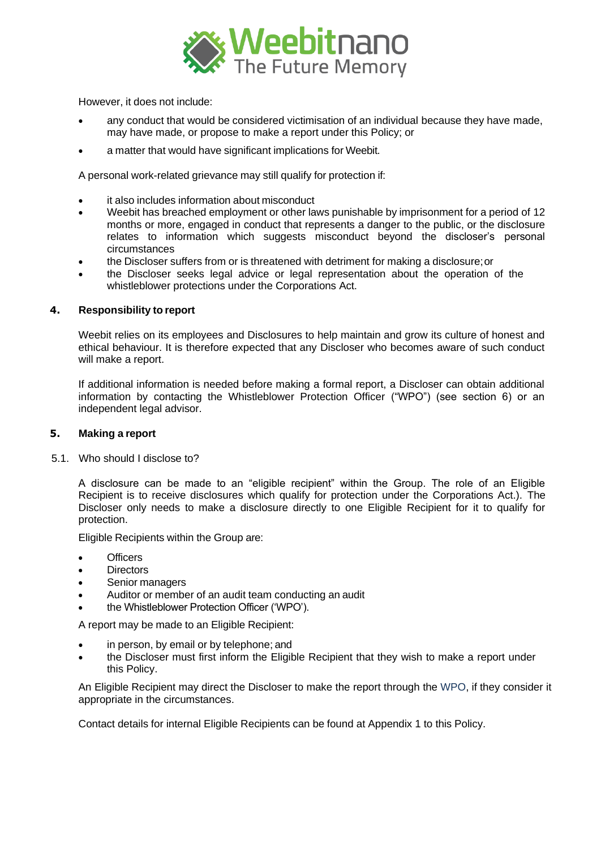

However, it does not include:

- any conduct that would be considered victimisation of an individual because they have made, may have made, or propose to make a report under this Policy; or
- a matter that would have significant implications for Weebit.

A personal work-related grievance may still qualify for protection if:

- it also includes information about misconduct
- Weebit has breached employment or other laws punishable by imprisonment for a period of 12 months or more, engaged in conduct that represents a danger to the public, or the disclosure relates to information which suggests misconduct beyond the discloser's personal circumstances
- the Discloser suffers from or is threatened with detriment for making a disclosure;or
- the Discloser seeks legal advice or legal representation about the operation of the whistleblower protections under the Corporations Act.

## **4. Responsibility to report**

Weebit relies on its employees and Disclosures to help maintain and grow its culture of honest and ethical behaviour. It is therefore expected that any Discloser who becomes aware of such conduct will make a report.

If additional information is needed before making a formal report, a Discloser can obtain additional information by contacting the Whistleblower Protection Officer ("WPO") (see section 6) or an independent legal advisor.

## **5. Making a report**

5.1. Who should I disclose to?

A disclosure can be made to an "eligible recipient" within the Group. The role of an Eligible Recipient is to receive disclosures which qualify for protection under the Corporations Act.). The Discloser only needs to make a disclosure directly to one Eligible Recipient for it to qualify for protection.

Eligible Recipients within the Group are:

- **Officers**
- **Directors**
- Senior managers
- Auditor or member of an audit team conducting an audit
- the Whistleblower Protection Officer ('WPO').

A report may be made to an Eligible Recipient:

- in person, by email or by telephone; and
- the Discloser must first inform the Eligible Recipient that they wish to make a report under this Policy.

An Eligible Recipient may direct the Discloser to make the report through the WPO, if they consider it appropriate in the circumstances.

Contact details for internal Eligible Recipients can be found at Appendix 1 to this Policy.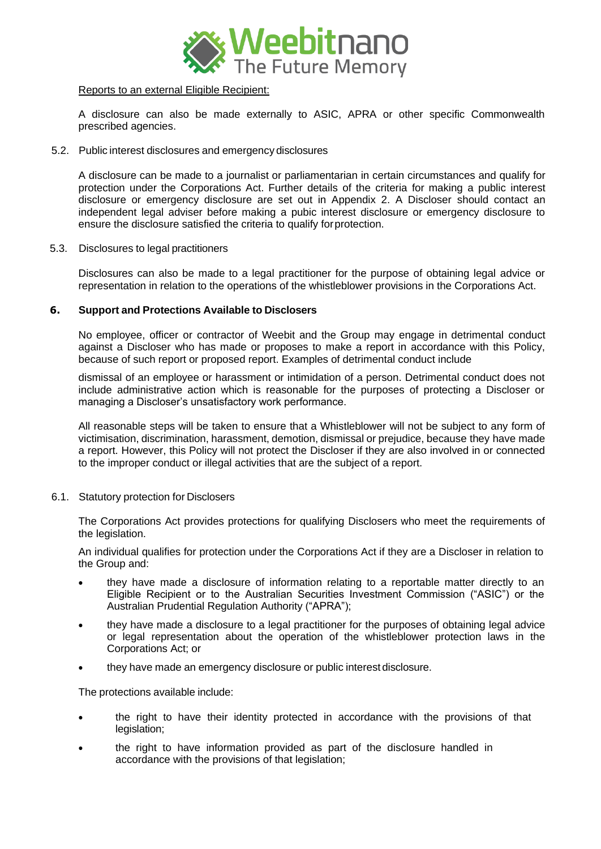

## Reports to an external Eligible Recipient:

A disclosure can also be made externally to ASIC, APRA or other specific Commonwealth prescribed agencies.

5.2. Public interest disclosures and emergency disclosures

A disclosure can be made to a journalist or parliamentarian in certain circumstances and qualify for protection under the Corporations Act. Further details of the criteria for making a public interest disclosure or emergency disclosure are set out in Appendix 2. A Discloser should contact an independent legal adviser before making a pubic interest disclosure or emergency disclosure to ensure the disclosure satisfied the criteria to qualify forprotection.

5.3. Disclosures to legal practitioners

Disclosures can also be made to a legal practitioner for the purpose of obtaining legal advice or representation in relation to the operations of the whistleblower provisions in the Corporations Act.

## **6. Support and Protections Available to Disclosers**

No employee, officer or contractor of Weebit and the Group may engage in detrimental conduct against a Discloser who has made or proposes to make a report in accordance with this Policy, because of such report or proposed report. Examples of detrimental conduct include

dismissal of an employee or harassment or intimidation of a person. Detrimental conduct does not include administrative action which is reasonable for the purposes of protecting a Discloser or managing a Discloser's unsatisfactory work performance.

All reasonable steps will be taken to ensure that a Whistleblower will not be subject to any form of victimisation, discrimination, harassment, demotion, dismissal or prejudice, because they have made a report. However, this Policy will not protect the Discloser if they are also involved in or connected to the improper conduct or illegal activities that are the subject of a report.

6.1. Statutory protection for Disclosers

The Corporations Act provides protections for qualifying Disclosers who meet the requirements of the legislation.

An individual qualifies for protection under the Corporations Act if they are a Discloser in relation to the Group and:

- they have made a disclosure of information relating to a reportable matter directly to an Eligible Recipient or to the Australian Securities Investment Commission ("ASIC") or the Australian Prudential Regulation Authority ("APRA");
- they have made a disclosure to a legal practitioner for the purposes of obtaining legal advice or legal representation about the operation of the whistleblower protection laws in the Corporations Act; or
- they have made an emergency disclosure or public interest disclosure.

The protections available include:

- the right to have their identity protected in accordance with the provisions of that legislation;
- the right to have information provided as part of the disclosure handled in accordance with the provisions of that legislation;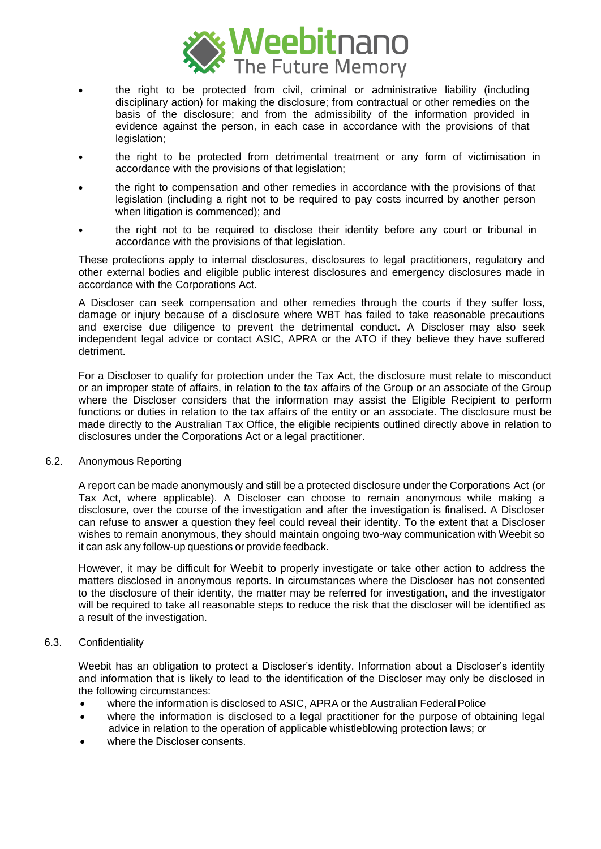

- the right to be protected from civil, criminal or administrative liability (including disciplinary action) for making the disclosure; from contractual or other remedies on the basis of the disclosure; and from the admissibility of the information provided in evidence against the person, in each case in accordance with the provisions of that legislation;
- the right to be protected from detrimental treatment or any form of victimisation in accordance with the provisions of that legislation;
- the right to compensation and other remedies in accordance with the provisions of that legislation (including a right not to be required to pay costs incurred by another person when litigation is commenced); and
- the right not to be required to disclose their identity before any court or tribunal in accordance with the provisions of that legislation.

These protections apply to internal disclosures, disclosures to legal practitioners, regulatory and other external bodies and eligible public interest disclosures and emergency disclosures made in accordance with the Corporations Act.

A Discloser can seek compensation and other remedies through the courts if they suffer loss, damage or injury because of a disclosure where WBT has failed to take reasonable precautions and exercise due diligence to prevent the detrimental conduct. A Discloser may also seek independent legal advice or contact ASIC, APRA or the ATO if they believe they have suffered detriment.

For a Discloser to qualify for protection under the Tax Act, the disclosure must relate to misconduct or an improper state of affairs, in relation to the tax affairs of the Group or an associate of the Group where the Discloser considers that the information may assist the Eligible Recipient to perform functions or duties in relation to the tax affairs of the entity or an associate. The disclosure must be made directly to the Australian Tax Office, the eligible recipients outlined directly above in relation to disclosures under the Corporations Act or a legal practitioner.

#### 6.2. Anonymous Reporting

A report can be made anonymously and still be a protected disclosure under the Corporations Act (or Tax Act, where applicable). A Discloser can choose to remain anonymous while making a disclosure, over the course of the investigation and after the investigation is finalised. A Discloser can refuse to answer a question they feel could reveal their identity. To the extent that a Discloser wishes to remain anonymous, they should maintain ongoing two-way communication with Weebit so it can ask any follow-up questions or provide feedback.

However, it may be difficult for Weebit to properly investigate or take other action to address the matters disclosed in anonymous reports. In circumstances where the Discloser has not consented to the disclosure of their identity, the matter may be referred for investigation, and the investigator will be required to take all reasonable steps to reduce the risk that the discloser will be identified as a result of the investigation.

## 6.3. Confidentiality

Weebit has an obligation to protect a Discloser's identity. Information about a Discloser's identity and information that is likely to lead to the identification of the Discloser may only be disclosed in the following circumstances:

- where the information is disclosed to ASIC, APRA or the Australian Federal Police
- where the information is disclosed to a legal practitioner for the purpose of obtaining legal advice in relation to the operation of applicable whistleblowing protection laws; or
- where the Discloser consents.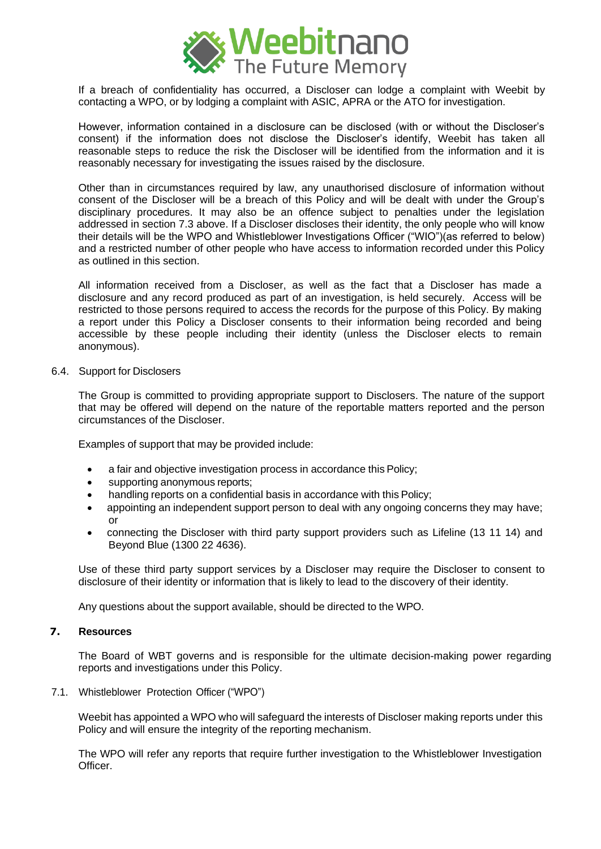

If a breach of confidentiality has occurred, a Discloser can lodge a complaint with Weebit by contacting a WPO, or by lodging a complaint with ASIC, APRA or the ATO for investigation.

However, information contained in a disclosure can be disclosed (with or without the Discloser's consent) if the information does not disclose the Discloser's identify, Weebit has taken all reasonable steps to reduce the risk the Discloser will be identified from the information and it is reasonably necessary for investigating the issues raised by the disclosure.

Other than in circumstances required by law, any unauthorised disclosure of information without consent of the Discloser will be a breach of this Policy and will be dealt with under the Group's disciplinary procedures. It may also be an offence subject to penalties under the legislation addressed in section 7.3 above. If a Discloser discloses their identity, the only people who will know their details will be the WPO and Whistleblower Investigations Officer ("WIO")(as referred to below) and a restricted number of other people who have access to information recorded under this Policy as outlined in this section.

All information received from a Discloser, as well as the fact that a Discloser has made a disclosure and any record produced as part of an investigation, is held securely. Access will be restricted to those persons required to access the records for the purpose of this Policy. By making a report under this Policy a Discloser consents to their information being recorded and being accessible by these people including their identity (unless the Discloser elects to remain anonymous).

#### 6.4. Support for Disclosers

The Group is committed to providing appropriate support to Disclosers. The nature of the support that may be offered will depend on the nature of the reportable matters reported and the person circumstances of the Discloser.

Examples of support that may be provided include:

- a fair and objective investigation process in accordance this Policy;
- supporting anonymous reports;
- handling reports on a confidential basis in accordance with this Policy;
- appointing an independent support person to deal with any ongoing concerns they may have; or
- connecting the Discloser with third party support providers such as Lifeline (13 11 14) and Beyond Blue (1300 22 4636).

Use of these third party support services by a Discloser may require the Discloser to consent to disclosure of their identity or information that is likely to lead to the discovery of their identity.

Any questions about the support available, should be directed to the WPO.

# **7. Resources**

The Board of WBT governs and is responsible for the ultimate decision-making power regarding reports and investigations under this Policy.

7.1. Whistleblower Protection Officer ("WPO")

Weebit has appointed a WPO who will safeguard the interests of Discloser making reports under this Policy and will ensure the integrity of the reporting mechanism.

The WPO will refer any reports that require further investigation to the Whistleblower Investigation Officer.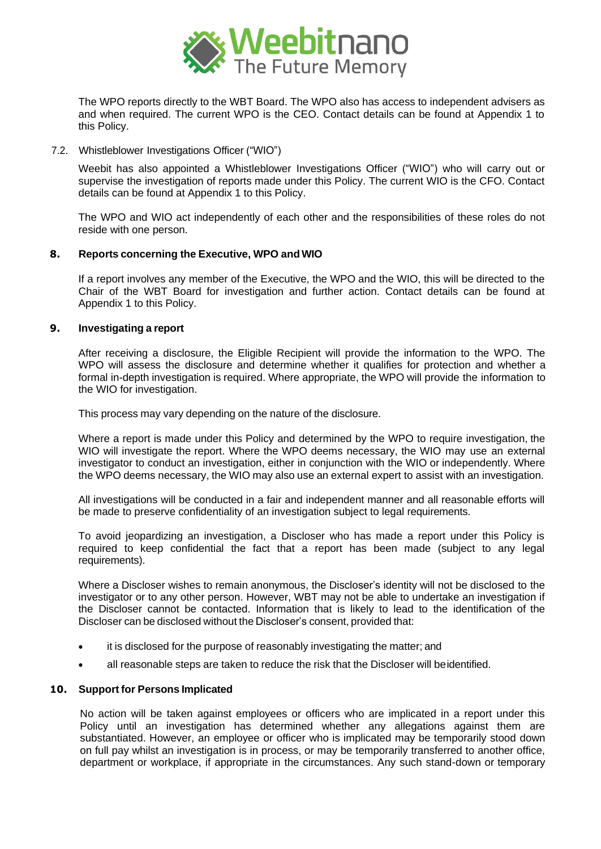

The WPO reports directly to the WBT Board. The WPO also has access to independent advisers as and when required. The current WPO is the CEO. Contact details can be found at Appendix 1 to this Policy.

7.2. Whistleblower Investigations Officer ("WIO")

Weebit has also appointed a Whistleblower Investigations Officer ("WIO") who will carry out or supervise the investigation of reports made under this Policy. The current WIO is the CFO. Contact details can be found at Appendix 1 to this Policy.

The WPO and WIO act independently of each other and the responsibilities of these roles do not reside with one person.

## **8. Reports concerning the Executive, WPO and WIO**

If a report involves any member of the Executive, the WPO and the WIO, this will be directed to the Chair of the WBT Board for investigation and further action. Contact details can be found at Appendix 1 to this Policy.

## **9. Investigating a report**

After receiving a disclosure, the Eligible Recipient will provide the information to the WPO. The WPO will assess the disclosure and determine whether it qualifies for protection and whether a formal in-depth investigation is required. Where appropriate, the WPO will provide the information to the WIO for investigation.

This process may vary depending on the nature of the disclosure.

Where a report is made under this Policy and determined by the WPO to require investigation, the WIO will investigate the report. Where the WPO deems necessary, the WIO may use an external investigator to conduct an investigation, either in conjunction with the WIO or independently. Where the WPO deems necessary, the WIO may also use an external expert to assist with an investigation.

All investigations will be conducted in a fair and independent manner and all reasonable efforts will be made to preserve confidentiality of an investigation subject to legal requirements.

To avoid jeopardizing an investigation, a Discloser who has made a report under this Policy is required to keep confidential the fact that a report has been made (subject to any legal requirements).

Where a Discloser wishes to remain anonymous, the Discloser's identity will not be disclosed to the investigator or to any other person. However, WBT may not be able to undertake an investigation if the Discloser cannot be contacted. Information that is likely to lead to the identification of the Discloser can be disclosed without the Discloser's consent, provided that:

- it is disclosed for the purpose of reasonably investigating the matter; and
- all reasonable steps are taken to reduce the risk that the Discloser will beidentified.

#### **10. Support for Persons Implicated**

No action will be taken against employees or officers who are implicated in a report under this Policy until an investigation has determined whether any allegations against them are substantiated. However, an employee or officer who is implicated may be temporarily stood down on full pay whilst an investigation is in process, or may be temporarily transferred to another office, department or workplace, if appropriate in the circumstances. Any such stand-down or temporary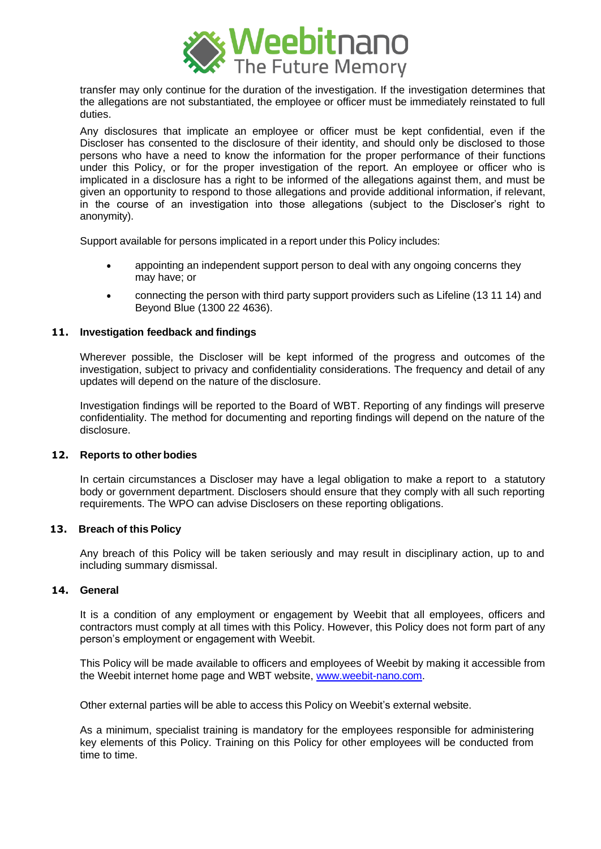

transfer may only continue for the duration of the investigation. If the investigation determines that the allegations are not substantiated, the employee or officer must be immediately reinstated to full duties.

Any disclosures that implicate an employee or officer must be kept confidential, even if the Discloser has consented to the disclosure of their identity, and should only be disclosed to those persons who have a need to know the information for the proper performance of their functions under this Policy, or for the proper investigation of the report. An employee or officer who is implicated in a disclosure has a right to be informed of the allegations against them, and must be given an opportunity to respond to those allegations and provide additional information, if relevant, in the course of an investigation into those allegations (subject to the Discloser's right to anonymity).

Support available for persons implicated in a report under this Policy includes:

- appointing an independent support person to deal with any ongoing concerns they may have; or
- connecting the person with third party support providers such as Lifeline (13 11 14) and Beyond Blue (1300 22 4636).

## **11. Investigation feedback and findings**

Wherever possible, the Discloser will be kept informed of the progress and outcomes of the investigation, subject to privacy and confidentiality considerations. The frequency and detail of any updates will depend on the nature of the disclosure.

Investigation findings will be reported to the Board of WBT. Reporting of any findings will preserve confidentiality. The method for documenting and reporting findings will depend on the nature of the disclosure.

#### **12. Reports to other bodies**

In certain circumstances a Discloser may have a legal obligation to make a report to a statutory body or government department. Disclosers should ensure that they comply with all such reporting requirements. The WPO can advise Disclosers on these reporting obligations.

#### **13. Breach of this Policy**

Any breach of this Policy will be taken seriously and may result in disciplinary action, up to and including summary dismissal.

#### **14. General**

It is a condition of any employment or engagement by Weebit that all employees, officers and contractors must comply at all times with this Policy. However, this Policy does not form part of any person's employment or engagement with Weebit.

This Policy will be made available to officers and employees of Weebit by making it accessible from the Weebit internet home page and WBT website, [www.weebit-nano.com.](http://www.weebit-nano.com/)

Other external parties will be able to access this Policy on Weebit's external website.

As a minimum, specialist training is mandatory for the employees responsible for administering key elements of this Policy. Training on this Policy for other employees will be conducted from time to time.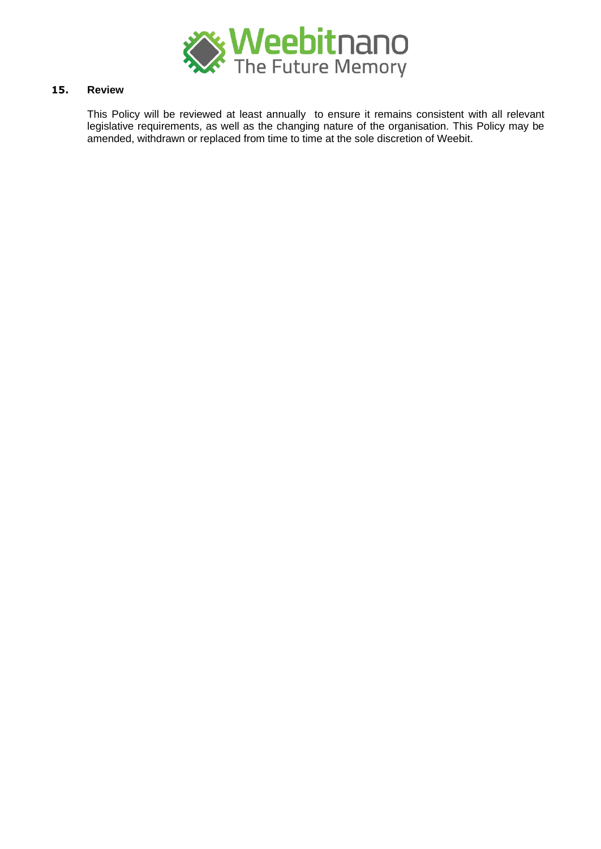

# **15. Review**

This Policy will be reviewed at least annually to ensure it remains consistent with all relevant legislative requirements, as well as the changing nature of the organisation. This Policy may be amended, withdrawn or replaced from time to time at the sole discretion of Weebit.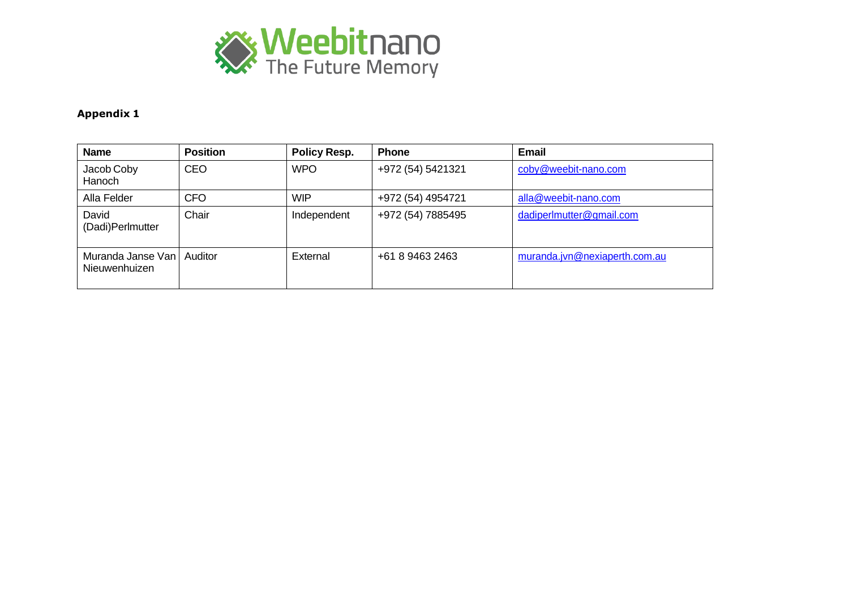

# **Appendix 1**

| <b>Name</b>                        | <b>Position</b> | <b>Policy Resp.</b> | <b>Phone</b>      | Email                         |
|------------------------------------|-----------------|---------------------|-------------------|-------------------------------|
| Jacob Coby<br>Hanoch               | <b>CEO</b>      | <b>WPO</b>          | +972 (54) 5421321 | coby@weebit-nano.com          |
| Alla Felder                        | <b>CFO</b>      | <b>WIP</b>          | +972 (54) 4954721 | alla@weebit-nano.com          |
| David<br>(Dadi)Perlmutter          | Chair           | Independent         | +972 (54) 7885495 | dadiperlmutter@gmail.com      |
| Muranda Janse Van<br>Nieuwenhuizen | Auditor         | External            | +61 8 9463 2463   | muranda.jvn@nexiaperth.com.au |